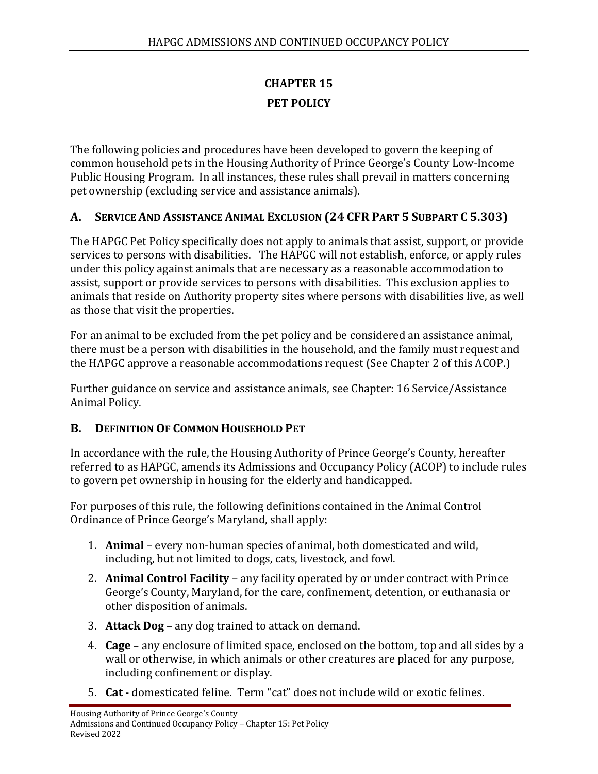# **CHAPTER 15 PET POLICY**

The following policies and procedures have been developed to govern the keeping of common household pets in the Housing Authority of Prince George's County Low-Income Public Housing Program. In all instances, these rules shall prevail in matters concerning pet ownership (excluding service and assistance animals).

### **A. SERVICE AND ASSISTANCE ANIMAL EXCLUSION (24 CFR PART 5 SUBPART C 5.303)**

The HAPGC Pet Policy specifically does not apply to animals that assist, support, or provide services to persons with disabilities. The HAPGC will not establish, enforce, or apply rules under this policy against animals that are necessary as a reasonable accommodation to assist, support or provide services to persons with disabilities. This exclusion applies to animals that reside on Authority property sites where persons with disabilities live, as well as those that visit the properties.

For an animal to be excluded from the pet policy and be considered an assistance animal, there must be a person with disabilities in the household, and the family must request and the HAPGC approve a reasonable accommodations request (See Chapter 2 of this ACOP.)

Further guidance on service and assistance animals, see Chapter: 16 Service/Assistance Animal Policy.

### **B. DEFINITION OF COMMON HOUSEHOLD PET**

In accordance with the rule, the Housing Authority of Prince George's County, hereafter referred to as HAPGC, amends its Admissions and Occupancy Policy (ACOP) to include rules to govern pet ownership in housing for the elderly and handicapped.

For purposes of this rule, the following definitions contained in the Animal Control Ordinance of Prince George's Maryland, shall apply:

- 1. **Animal** every non-human species of animal, both domesticated and wild, including, but not limited to dogs, cats, livestock, and fowl.
- 2. **Animal Control Facility** any facility operated by or under contract with Prince George's County, Maryland, for the care, confinement, detention, or euthanasia or other disposition of animals.
- 3. **Attack Dog** any dog trained to attack on demand.
- 4. **Cage** any enclosure of limited space, enclosed on the bottom, top and all sides by a wall or otherwise, in which animals or other creatures are placed for any purpose, including confinement or display.
- 5. **Cat** domesticated feline. Term "cat" does not include wild or exotic felines.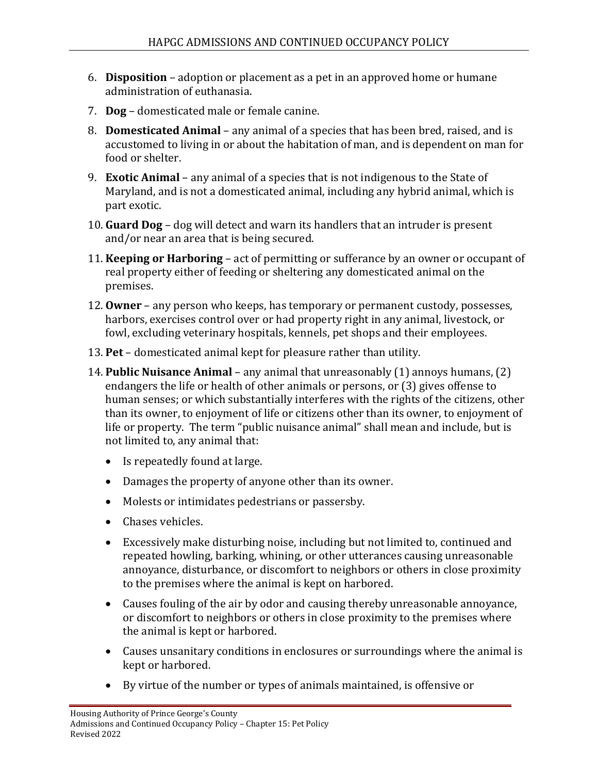- 6. **Disposition**  adoption or placement as a pet in an approved home or humane administration of euthanasia.
- 7. **Dog**  domesticated male or female canine.
- 8. **Domesticated Animal**  any animal of a species that has been bred, raised, and is accustomed to living in or about the habitation of man, and is dependent on man for food or shelter.
- 9. **Exotic Animal**  any animal of a species that is not indigenous to the State of Maryland, and is not a domesticated animal, including any hybrid animal, which is part exotic.
- 10. **Guard Dog**  dog will detect and warn its handlers that an intruder is present and/or near an area that is being secured.
- 11. **Keeping or Harboring**  act of permitting or sufferance by an owner or occupant of real property either of feeding or sheltering any domesticated animal on the premises.
- 12. **Owner**  any person who keeps, has temporary or permanent custody, possesses, harbors, exercises control over or had property right in any animal, livestock, or fowl, excluding veterinary hospitals, kennels, pet shops and their employees.
- 13. **Pet**  domesticated animal kept for pleasure rather than utility.
- 14. **Public Nuisance Animal**  any animal that unreasonably (1) annoys humans, (2) endangers the life or health of other animals or persons, or (3) gives offense to human senses; or which substantially interferes with the rights of the citizens, other than its owner, to enjoyment of life or citizens other than its owner, to enjoyment of life or property. The term "public nuisance animal" shall mean and include, but is not limited to, any animal that:
	- Is repeatedly found at large.
	- Damages the property of anyone other than its owner.
	- Molests or intimidates pedestrians or passersby.
	- Chases vehicles.
	- Excessively make disturbing noise, including but not limited to, continued and repeated howling, barking, whining, or other utterances causing unreasonable annoyance, disturbance, or discomfort to neighbors or others in close proximity to the premises where the animal is kept on harbored.
	- Causes fouling of the air by odor and causing thereby unreasonable annoyance, or discomfort to neighbors or others in close proximity to the premises where the animal is kept or harbored.
	- Causes unsanitary conditions in enclosures or surroundings where the animal is kept or harbored.
	- By virtue of the number or types of animals maintained, is offensive or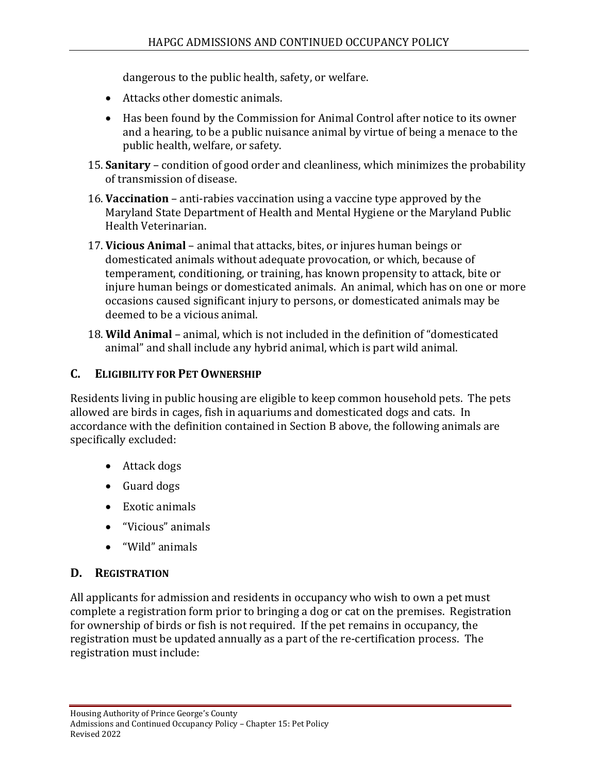dangerous to the public health, safety, or welfare.

- Attacks other domestic animals.
- Has been found by the Commission for Animal Control after notice to its owner and a hearing, to be a public nuisance animal by virtue of being a menace to the public health, welfare, or safety.
- 15. **Sanitary** condition of good order and cleanliness, which minimizes the probability of transmission of disease.
- 16. **Vaccination** anti-rabies vaccination using a vaccine type approved by the Maryland State Department of Health and Mental Hygiene or the Maryland Public Health Veterinarian.
- 17. **Vicious Animal** animal that attacks, bites, or injures human beings or domesticated animals without adequate provocation, or which, because of temperament, conditioning, or training, has known propensity to attack, bite or injure human beings or domesticated animals. An animal, which has on one or more occasions caused significant injury to persons, or domesticated animals may be deemed to be a vicious animal.
- 18. **Wild Animal** animal, which is not included in the definition of "domesticated animal" and shall include any hybrid animal, which is part wild animal.

## **C. ELIGIBILITY FOR PET OWNERSHIP**

Residents living in public housing are eligible to keep common household pets. The pets allowed are birds in cages, fish in aquariums and domesticated dogs and cats. In accordance with the definition contained in Section B above, the following animals are specifically excluded:

- Attack dogs
- Guard dogs
- Exotic animals
- "Vicious" animals
- "Wild" animals

### **D. REGISTRATION**

All applicants for admission and residents in occupancy who wish to own a pet must complete a registration form prior to bringing a dog or cat on the premises. Registration for ownership of birds or fish is not required. If the pet remains in occupancy, the registration must be updated annually as a part of the re-certification process. The registration must include: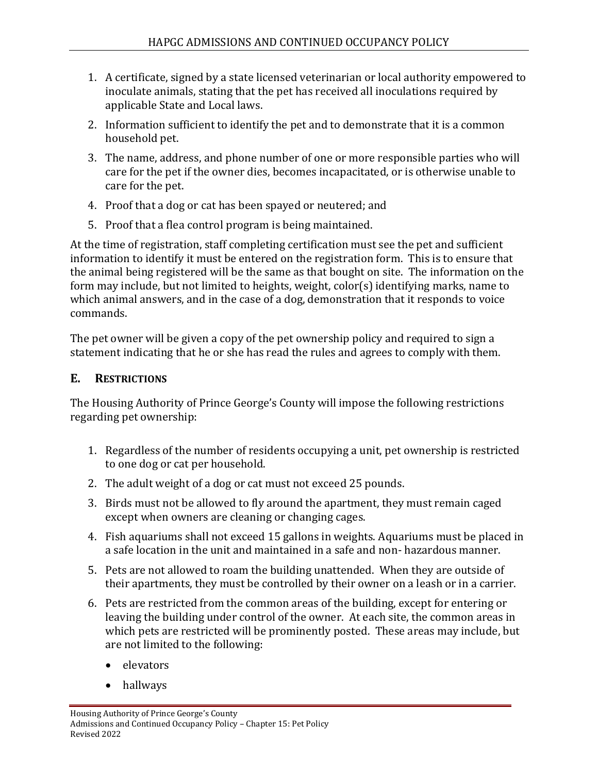- 1. A certificate, signed by a state licensed veterinarian or local authority empowered to inoculate animals, stating that the pet has received all inoculations required by applicable State and Local laws.
- 2. Information sufficient to identify the pet and to demonstrate that it is a common household pet.
- 3. The name, address, and phone number of one or more responsible parties who will care for the pet if the owner dies, becomes incapacitated, or is otherwise unable to care for the pet.
- 4. Proof that a dog or cat has been spayed or neutered; and
- 5. Proof that a flea control program is being maintained.

At the time of registration, staff completing certification must see the pet and sufficient information to identify it must be entered on the registration form. This is to ensure that the animal being registered will be the same as that bought on site. The information on the form may include, but not limited to heights, weight, color(s) identifying marks, name to which animal answers, and in the case of a dog, demonstration that it responds to voice commands.

The pet owner will be given a copy of the pet ownership policy and required to sign a statement indicating that he or she has read the rules and agrees to comply with them.

## **E. RESTRICTIONS**

The Housing Authority of Prince George's County will impose the following restrictions regarding pet ownership:

- 1. Regardless of the number of residents occupying a unit, pet ownership is restricted to one dog or cat per household.
- 2. The adult weight of a dog or cat must not exceed 25 pounds.
- 3. Birds must not be allowed to fly around the apartment, they must remain caged except when owners are cleaning or changing cages.
- 4. Fish aquariums shall not exceed 15 gallons in weights. Aquariums must be placed in a safe location in the unit and maintained in a safe and non- hazardous manner.
- 5. Pets are not allowed to roam the building unattended. When they are outside of their apartments, they must be controlled by their owner on a leash or in a carrier.
- 6. Pets are restricted from the common areas of the building, except for entering or leaving the building under control of the owner. At each site, the common areas in which pets are restricted will be prominently posted. These areas may include, but are not limited to the following:
	- elevators
	- hallways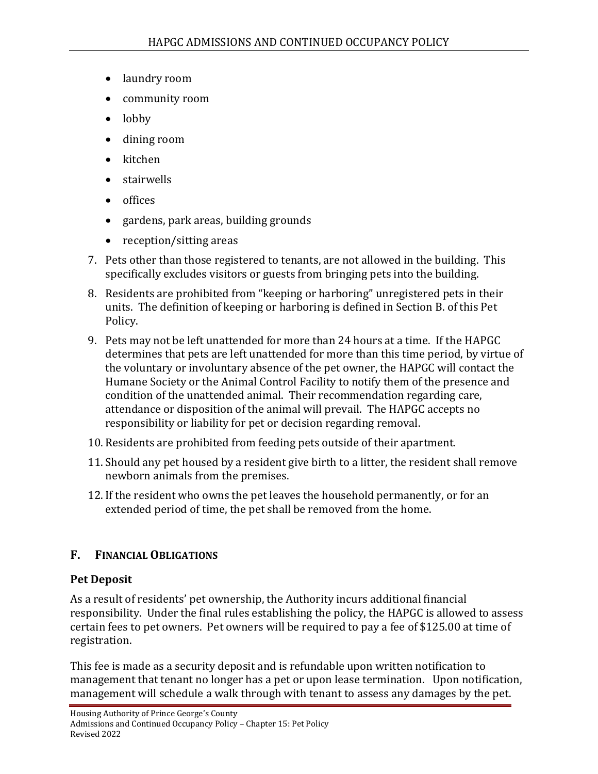- laundry room
- community room
- lobby
- dining room
- kitchen
- stairwells
- offices
- gardens, park areas, building grounds
- reception/sitting areas
- 7. Pets other than those registered to tenants, are not allowed in the building. This specifically excludes visitors or guests from bringing pets into the building.
- 8. Residents are prohibited from "keeping or harboring" unregistered pets in their units. The definition of keeping or harboring is defined in Section B. of this Pet Policy.
- 9. Pets may not be left unattended for more than 24 hours at a time. If the HAPGC determines that pets are left unattended for more than this time period, by virtue of the voluntary or involuntary absence of the pet owner, the HAPGC will contact the Humane Society or the Animal Control Facility to notify them of the presence and condition of the unattended animal. Their recommendation regarding care, attendance or disposition of the animal will prevail. The HAPGC accepts no responsibility or liability for pet or decision regarding removal.
- 10. Residents are prohibited from feeding pets outside of their apartment.
- 11. Should any pet housed by a resident give birth to a litter, the resident shall remove newborn animals from the premises.
- 12. If the resident who owns the pet leaves the household permanently, or for an extended period of time, the pet shall be removed from the home.

### **F. FINANCIAL OBLIGATIONS**

### **Pet Deposit**

As a result of residents' pet ownership, the Authority incurs additional financial responsibility. Under the final rules establishing the policy, the HAPGC is allowed to assess certain fees to pet owners. Pet owners will be required to pay a fee of \$125.00 at time of registration.

This fee is made as a security deposit and is refundable upon written notification to management that tenant no longer has a pet or upon lease termination. Upon notification, management will schedule a walk through with tenant to assess any damages by the pet.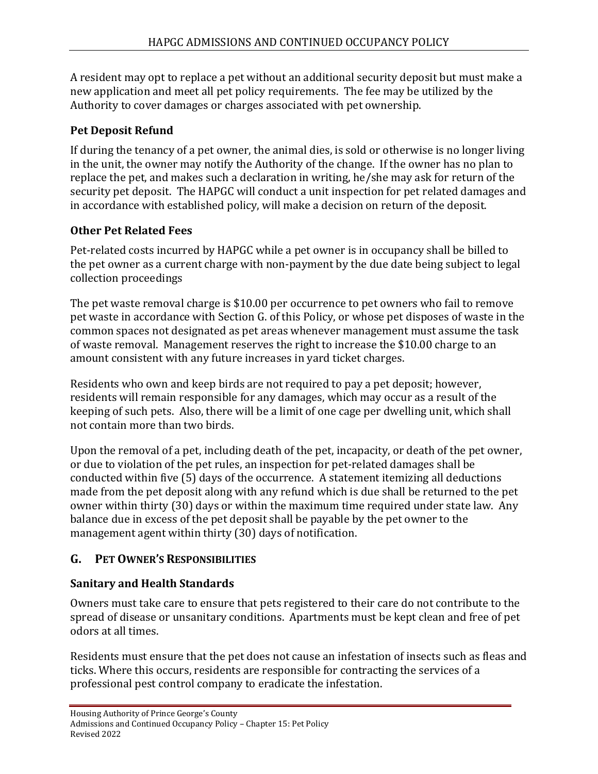A resident may opt to replace a pet without an additional security deposit but must make a new application and meet all pet policy requirements. The fee may be utilized by the Authority to cover damages or charges associated with pet ownership.

## **Pet Deposit Refund**

If during the tenancy of a pet owner, the animal dies, is sold or otherwise is no longer living in the unit, the owner may notify the Authority of the change. If the owner has no plan to replace the pet, and makes such a declaration in writing, he/she may ask for return of the security pet deposit. The HAPGC will conduct a unit inspection for pet related damages and in accordance with established policy, will make a decision on return of the deposit.

## **Other Pet Related Fees**

Pet-related costs incurred by HAPGC while a pet owner is in occupancy shall be billed to the pet owner as a current charge with non-payment by the due date being subject to legal collection proceedings

The pet waste removal charge is \$10.00 per occurrence to pet owners who fail to remove pet waste in accordance with Section G. of this Policy, or whose pet disposes of waste in the common spaces not designated as pet areas whenever management must assume the task of waste removal. Management reserves the right to increase the \$10.00 charge to an amount consistent with any future increases in yard ticket charges.

Residents who own and keep birds are not required to pay a pet deposit; however, residents will remain responsible for any damages, which may occur as a result of the keeping of such pets. Also, there will be a limit of one cage per dwelling unit, which shall not contain more than two birds.

Upon the removal of a pet, including death of the pet, incapacity, or death of the pet owner, or due to violation of the pet rules, an inspection for pet-related damages shall be conducted within five (5) days of the occurrence. A statement itemizing all deductions made from the pet deposit along with any refund which is due shall be returned to the pet owner within thirty (30) days or within the maximum time required under state law. Any balance due in excess of the pet deposit shall be payable by the pet owner to the management agent within thirty (30) days of notification.

## **G. PET OWNER'S RESPONSIBILITIES**

## **Sanitary and Health Standards**

Owners must take care to ensure that pets registered to their care do not contribute to the spread of disease or unsanitary conditions. Apartments must be kept clean and free of pet odors at all times.

Residents must ensure that the pet does not cause an infestation of insects such as fleas and ticks. Where this occurs, residents are responsible for contracting the services of a professional pest control company to eradicate the infestation.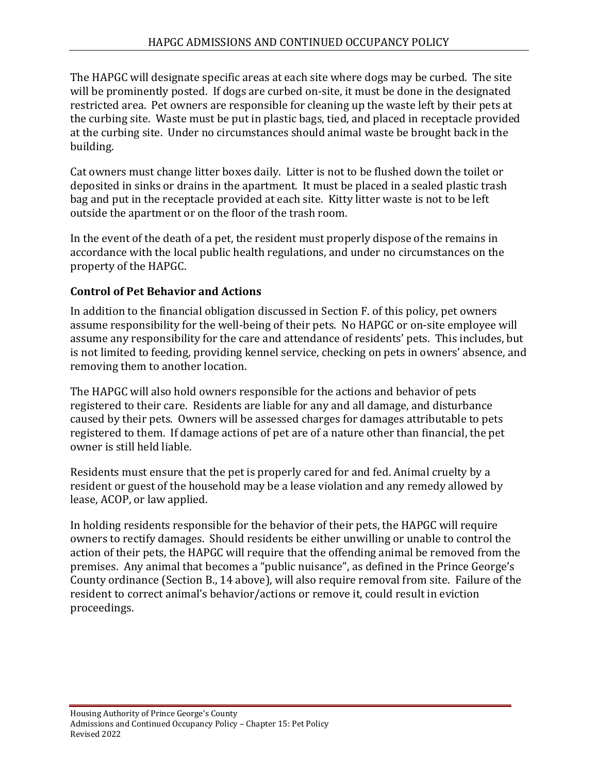The HAPGC will designate specific areas at each site where dogs may be curbed. The site will be prominently posted. If dogs are curbed on-site, it must be done in the designated restricted area. Pet owners are responsible for cleaning up the waste left by their pets at the curbing site. Waste must be put in plastic bags, tied, and placed in receptacle provided at the curbing site. Under no circumstances should animal waste be brought back in the building.

Cat owners must change litter boxes daily. Litter is not to be flushed down the toilet or deposited in sinks or drains in the apartment. It must be placed in a sealed plastic trash bag and put in the receptacle provided at each site. Kitty litter waste is not to be left outside the apartment or on the floor of the trash room.

In the event of the death of a pet, the resident must properly dispose of the remains in accordance with the local public health regulations, and under no circumstances on the property of the HAPGC.

### **Control of Pet Behavior and Actions**

In addition to the financial obligation discussed in Section F. of this policy, pet owners assume responsibility for the well-being of their pets. No HAPGC or on-site employee will assume any responsibility for the care and attendance of residents' pets. This includes, but is not limited to feeding, providing kennel service, checking on pets in owners' absence, and removing them to another location.

The HAPGC will also hold owners responsible for the actions and behavior of pets registered to their care. Residents are liable for any and all damage, and disturbance caused by their pets. Owners will be assessed charges for damages attributable to pets registered to them. If damage actions of pet are of a nature other than financial, the pet owner is still held liable.

Residents must ensure that the pet is properly cared for and fed. Animal cruelty by a resident or guest of the household may be a lease violation and any remedy allowed by lease, ACOP, or law applied.

In holding residents responsible for the behavior of their pets, the HAPGC will require owners to rectify damages. Should residents be either unwilling or unable to control the action of their pets, the HAPGC will require that the offending animal be removed from the premises. Any animal that becomes a "public nuisance", as defined in the Prince George's County ordinance (Section B., 14 above), will also require removal from site. Failure of the resident to correct animal's behavior/actions or remove it, could result in eviction proceedings.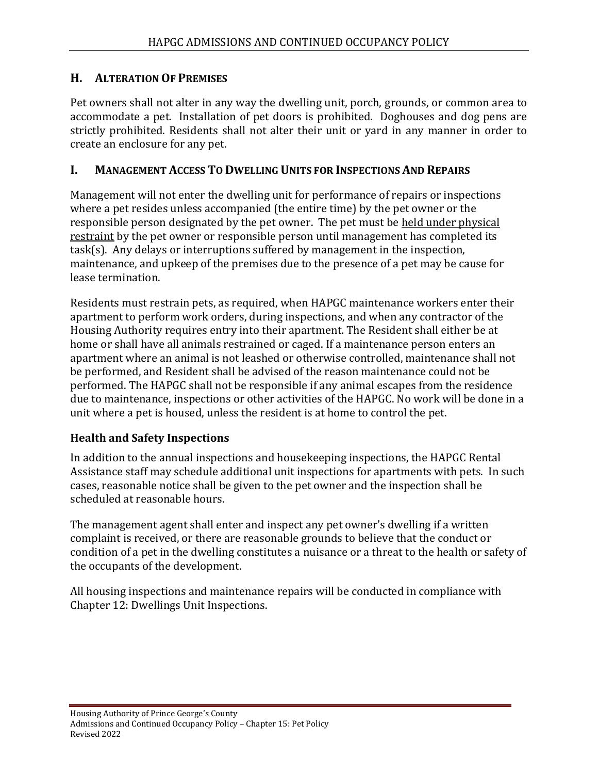### **H. ALTERATION OF PREMISES**

Pet owners shall not alter in any way the dwelling unit, porch, grounds, or common area to accommodate a pet. Installation of pet doors is prohibited. Doghouses and dog pens are strictly prohibited. Residents shall not alter their unit or yard in any manner in order to create an enclosure for any pet.

### **I. MANAGEMENT ACCESS TO DWELLING UNITS FOR INSPECTIONS AND REPAIRS**

Management will not enter the dwelling unit for performance of repairs or inspections where a pet resides unless accompanied (the entire time) by the pet owner or the responsible person designated by the pet owner. The pet must be held under physical restraint by the pet owner or responsible person until management has completed its task(s). Any delays or interruptions suffered by management in the inspection, maintenance, and upkeep of the premises due to the presence of a pet may be cause for lease termination.

Residents must restrain pets, as required, when HAPGC maintenance workers enter their apartment to perform work orders, during inspections, and when any contractor of the Housing Authority requires entry into their apartment. The Resident shall either be at home or shall have all animals restrained or caged. If a maintenance person enters an apartment where an animal is not leashed or otherwise controlled, maintenance shall not be performed, and Resident shall be advised of the reason maintenance could not be performed. The HAPGC shall not be responsible if any animal escapes from the residence due to maintenance, inspections or other activities of the HAPGC. No work will be done in a unit where a pet is housed, unless the resident is at home to control the pet.

### **Health and Safety Inspections**

In addition to the annual inspections and housekeeping inspections, the HAPGC Rental Assistance staff may schedule additional unit inspections for apartments with pets. In such cases, reasonable notice shall be given to the pet owner and the inspection shall be scheduled at reasonable hours.

The management agent shall enter and inspect any pet owner's dwelling if a written complaint is received, or there are reasonable grounds to believe that the conduct or condition of a pet in the dwelling constitutes a nuisance or a threat to the health or safety of the occupants of the development.

All housing inspections and maintenance repairs will be conducted in compliance with Chapter 12: Dwellings Unit Inspections.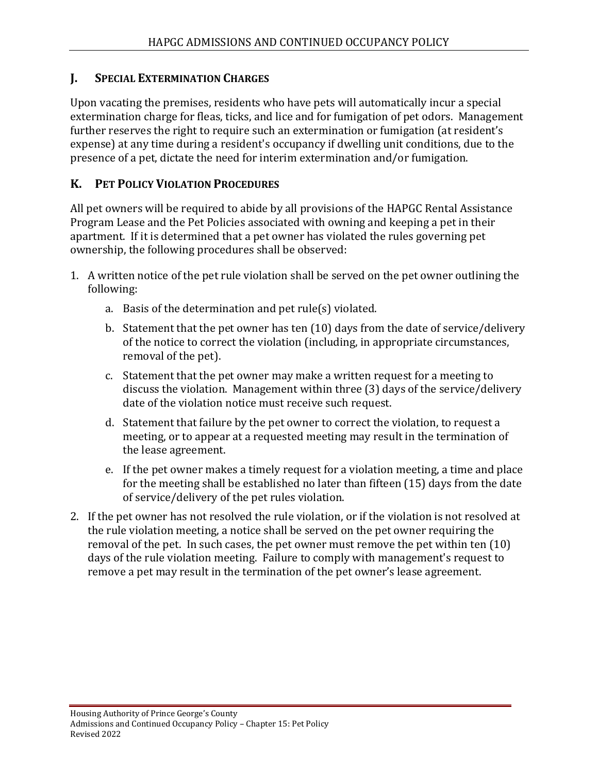### **J. SPECIAL EXTERMINATION CHARGES**

Upon vacating the premises, residents who have pets will automatically incur a special extermination charge for fleas, ticks, and lice and for fumigation of pet odors. Management further reserves the right to require such an extermination or fumigation (at resident's expense) at any time during a resident's occupancy if dwelling unit conditions, due to the presence of a pet, dictate the need for interim extermination and/or fumigation.

## **K. PET POLICY VIOLATION PROCEDURES**

All pet owners will be required to abide by all provisions of the HAPGC Rental Assistance Program Lease and the Pet Policies associated with owning and keeping a pet in their apartment. If it is determined that a pet owner has violated the rules governing pet ownership, the following procedures shall be observed:

- 1. A written notice of the pet rule violation shall be served on the pet owner outlining the following:
	- a. Basis of the determination and pet rule(s) violated.
	- b. Statement that the pet owner has ten (10) days from the date of service/delivery of the notice to correct the violation (including, in appropriate circumstances, removal of the pet).
	- c. Statement that the pet owner may make a written request for a meeting to discuss the violation. Management within three (3) days of the service/delivery date of the violation notice must receive such request.
	- d. Statement that failure by the pet owner to correct the violation, to request a meeting, or to appear at a requested meeting may result in the termination of the lease agreement.
	- e. If the pet owner makes a timely request for a violation meeting, a time and place for the meeting shall be established no later than fifteen (15) days from the date of service/delivery of the pet rules violation.
- 2. If the pet owner has not resolved the rule violation, or if the violation is not resolved at the rule violation meeting, a notice shall be served on the pet owner requiring the removal of the pet. In such cases, the pet owner must remove the pet within ten (10) days of the rule violation meeting. Failure to comply with management's request to remove a pet may result in the termination of the pet owner's lease agreement.